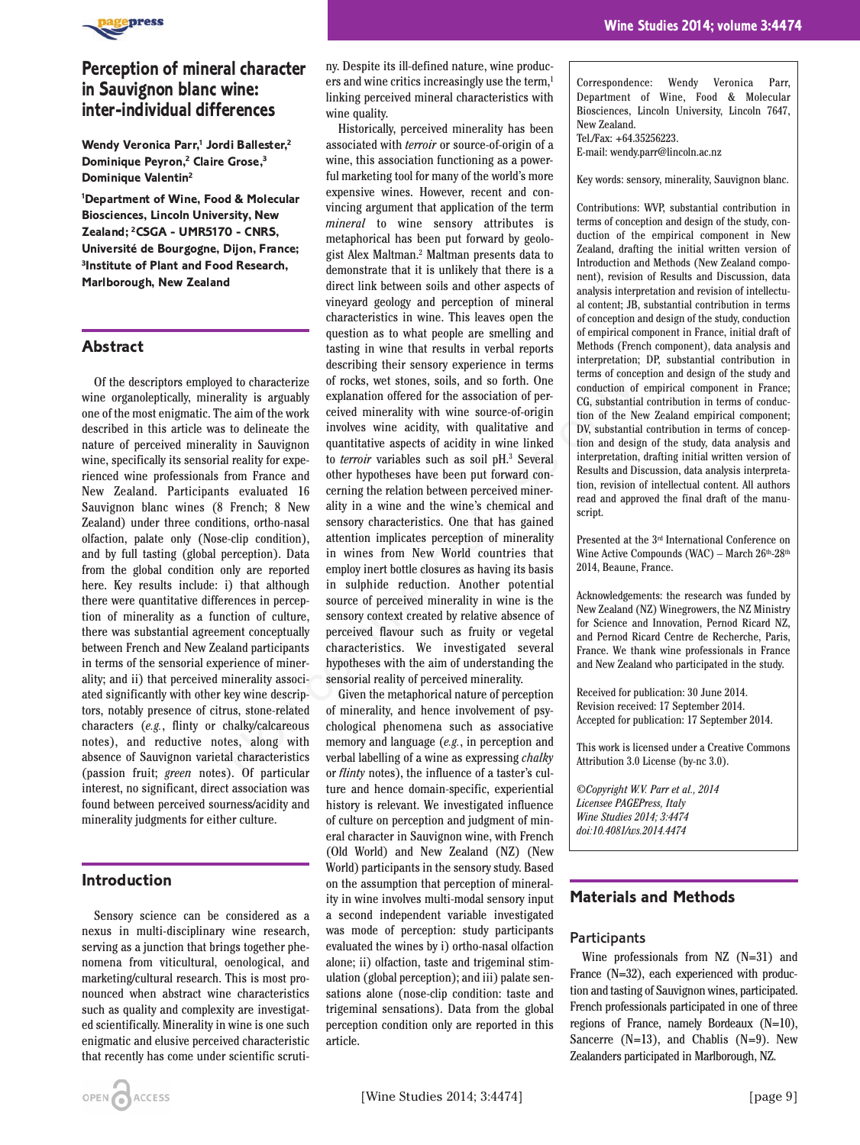

# **Perception of mineral character in Sauvignon blanc wine: inter-individual differences**

Wendy Veronica Parr,<sup>1</sup> Jordi Ballester,<sup>2</sup> **Dominique Peyron,2 Claire Grose,3 Dominique Valentin2**

**1 Department of Wine, Food & Molecular Biosciences, Lincoln University, New Zealand; 2 CSGA - UMR5170 - CNRS, Université de Bourgogne, Dijon, France; 3Institute of Plant and Food Research, Marlborough, New Zealand** 

## **Abstract**

Of the descriptors employed to characterize wine organoleptically, minerality is arguably one of the most enigmatic. The aim of the work described in this article was to delineate the nature of perceived minerality in Sauvignon wine, specifically its sensorial reality for experienced wine professionals from France and New Zealand. Participants evaluated 16 Sauvignon blanc wines (8 French; 8 New Zealand) under three conditions, ortho-nasal olfaction, palate only (Nose-clip condition), and by full tasting (global perception). Data from the global condition only are reported here. Key results include: i) that although there were quantitative differences in perception of minerality as a function of culture, there was substantial agreement conceptually between French and New Zealand participants in terms of the sensorial experience of minerality; and ii) that perceived minerality associated significantly with other key wine descriptors, notably presence of citrus, stone-related characters (*e.g.*, flinty or chalky/calcareous notes), and reductive notes, along with absence of Sauvignon varietal characteristics (passion fruit; *green* notes). Of particular interest, no significant, direct association was found between perceived sourness/acidity and minerality judgments for either culture.

## **Introduction**

Sensory science can be considered as a nexus in multi-disciplinary wine research, serving as a junction that brings together phenomena from viticultural, oenological, and marketing/cultural research. This is most pronounced when abstract wine characteristics such as quality and complexity are investigated scientifically. Minerality in wine is one such enigmatic and elusive perceived characteristic that recently has come under scientific scruti-

ny. Despite its ill-defined nature, wine producers and wine critics increasingly use the term,<sup>1</sup> linking perceived mineral characteristics with wine quality.

Historically, perceived minerality has been associated with *terroir* or source-of-origin of a wine, this association functioning as a powerful marketing tool for many of the world's more expensive wines. However, recent and convincing argument that application of the term *mineral* to wine sensory attributes is metaphorical has been put forward by geologist Alex Maltman.2 Maltman presents data to demonstrate that it is unlikely that there is a direct link between soils and other aspects of vineyard geology and perception of mineral characteristics in wine. This leaves open the question as to what people are smelling and tasting in wine that results in verbal reports describing their sensory experience in terms of rocks, wet stones, soils, and so forth. One explanation offered for the association of perceived minerality with wine source-of-origin involves wine acidity, with qualitative and quantitative aspects of acidity in wine linked to *terroir* variables such as soil pH.3 Several other hypotheses have been put forward concerning the relation between perceived minerality in a wine and the wine's chemical and sensory characteristics. One that has gained attention implicates perception of minerality in wines from New World countries that employ inert bottle closures as having its basis in sulphide reduction. Another potential source of perceived minerality in wine is the sensory context created by relative absence of perceived flavour such as fruity or vegetal characteristics. We investigated several hypotheses with the aim of understanding the sensorial reality of perceived minerality. ed to characterize of rocks, wet stones, soils, and so forth. One<br>
lead to characterize of rocks, wet stones, soils, and so forth. One<br>
lead conduction of<br>
lead in of the None ceived minerality with wine source-of-origin<br>

Given the metaphorical nature of perception of minerality, and hence involvement of psychological phenomena such as associative memory and language (*e.g.*, in perception and verbal labelling of a wine as expressing *chalky* or *flinty* notes), the influence of a taster's culture and hence domain-specific, experiential history is relevant. We investigated influence of culture on perception and judgment of mineral character in Sauvignon wine, with French (Old World) and New Zealand (NZ) (New World) participants in the sensory study. Based on the assumption that perception of minerality in wine involves multi-modal sensory input a second independent variable investigated was mode of perception: study participants evaluated the wines by i) ortho-nasal olfaction alone; ii) olfaction, taste and trigeminal stimulation (global perception); and iii) palate sensations alone (nose-clip condition: taste and trigeminal sensations). Data from the global perception condition only are reported in this article.

 **Wine Studies 2014; volume 3:4474**

Correspondence: Wendy Veronica Parr, Department of Wine, Food & Molecular Biosciences, Lincoln University, Lincoln 7647, New Zealand. Tel./Fax: +64.35256223.

E-mail: wendy.parr@lincoln.ac.nz

Key words: sensory, minerality, Sauvignon blanc.

Contributions: WVP, substantial contribution in terms of conception and design of the study, conduction of the empirical component in New Zealand, drafting the initial written version of Introduction and Methods (New Zealand component), revision of Results and Discussion, data analysis interpretation and revision of intellectual content; JB, substantial contribution in terms of conception and design of the study, conduction of empirical component in France, initial draft of Methods (French component), data analysis and interpretation; DP, substantial contribution in terms of conception and design of the study and conduction of empirical component in France; CG, substantial contribution in terms of conduction of the New Zealand empirical component; DV, substantial contribution in terms of conception and design of the study, data analysis and interpretation, drafting initial written version of Results and Discussion, data analysis interpretation, revision of intellectual content. All authors read and approved the final draft of the manuscript.

Presented at the 3rd International Conference on Wine Active Compounds (WAC) - March 26th-28th 2014, Beaune, France.

Acknowledgements: the research was funded by New Zealand (NZ) Winegrowers, the NZ Ministry for Science and Innovation, Pernod Ricard NZ, and Pernod Ricard Centre de Recherche, Paris, France. We thank wine professionals in France and New Zealand who participated in the study.

Received for publication: 30 June 2014. Revision received: 17 September 2014. Accepted for publication: 17 September 2014.

This work is licensed under a Creative Commons Attribution 3.0 License (by-nc 3.0).

*©Copyright W.V. Parr et al., 2014 Licensee PAGEPress, Italy Wine Studies 2014; 3:4474 doi:10.4081/ws.2014.4474*

## **Materials and Methods**

#### **Participants**

Wine professionals from NZ (N=31) and France (N=32), each experienced with production and tasting of Sauvignon wines, participated. French professionals participated in one of three regions of France, namely Bordeaux (N=10), Sancerre (N=13), and Chablis (N=9). New Zealanders participated in Marlborough, NZ.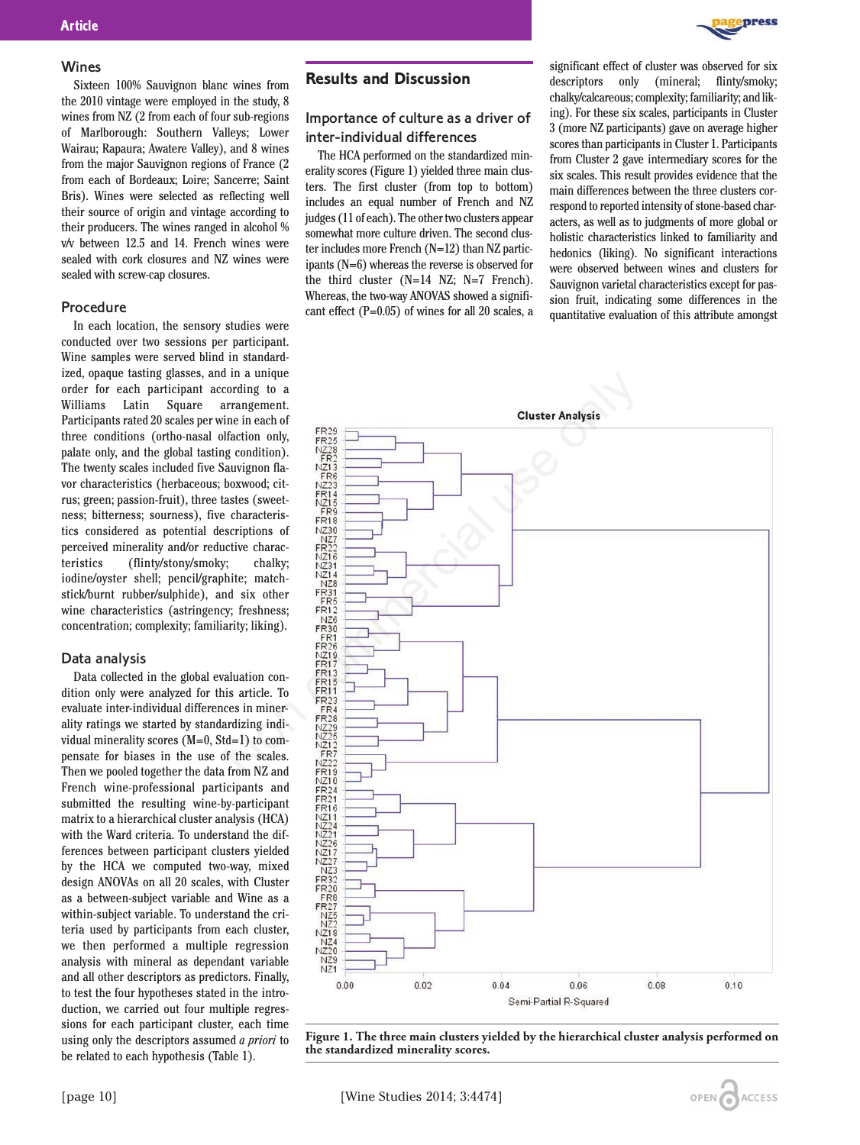

#### Wines

Sixteen 100% Sauvignon blanc wines from the 2010 vintage were employed in the study, 8 wines from NZ (2 from each of four sub-regions of Marlborough: Southern Valleys; Lower Wairau; Rapaura; Awatere Valley), and 8 wines from the major Sauvignon regions of France (2 from each of Bordeaux; Loire; Sancerre; Saint Bris). Wines were selected as reflecting well their source of origin and vintage according to their producers. The wines ranged in alcohol % v/v between 12.5 and 14. French wines were sealed with cork closures and NZ wines were sealed with screw-cap closures.

#### Procedure

In each location, the sensory studies were conducted over two sessions per participant. Wine samples were served blind in standardized, opaque tasting glasses, and in a unique order for each participant according to a Williams Latin Square arrangement. Participants rated 20 scales per wine in each of three conditions (ortho-nasal olfaction only, palate only, and the global tasting condition). The twenty scales included five Sauvignon flavor characteristics (herbaceous; boxwood; citrus; green; passion-fruit), three tastes (sweetness; bitterness; sourness), five characteristics considered as potential descriptions of perceived minerality and/or reductive characteristics (flinty/stony/smoky; chalky; iodine/oyster shell; pencil/graphite; matchstick/burnt rubber/sulphide), and six other wine characteristics (astringency; freshness; concentration; complexity; familiarity; liking).

#### Data analysis

Data collected in the global evaluation condition only were analyzed for this article. To evaluate inter-individual differences in minerality ratings we started by standardizing individual minerality scores (M=0, Std=1) to compensate for biases in the use of the scales. Then we pooled together the data from NZ and French wine-professional participants and submitted the resulting wine-by-participant matrix to a hierarchical cluster analysis (HCA) with the Ward criteria. To understand the differences between participant clusters yielded by the HCA we computed two-way, mixed design ANOVAs on all 20 scales, with Cluster as a between-subject variable and Wine as a within-subject variable. To understand the criteria used by participants from each cluster, we then performed a multiple regression analysis with mineral as dependant variable and all other descriptors as predictors. Finally, to test the four hypotheses stated in the introduction, we carried out four multiple regressions for each participant cluster, each time using only the descriptors assumed *a priori* to be related to each hypothesis (Table 1).

## **Results and Discussion**

## Importance of culture as a driver of inter-individual differences

The HCA performed on the standardized minerality scores (Figure 1) yielded three main clusters. The first cluster (from top to bottom) includes an equal number of French and NZ judges (11 of each). The other two clusters appear somewhat more culture driven. The second cluster includes more French (N=12) than NZ participants (N=6) whereas the reverse is observed for the third cluster (N=14 NZ; N=7 French). Whereas, the two-way ANOVAS showed a significant effect (P=0.05) of wines for all 20 scales, a

significant effect of cluster was observed for six descriptors only (mineral; flinty/smoky; chalky/calcareous; complexity; familiarity; and liking). For these six scales, participants in Cluster 3 (more NZ participants) gave on average higher scores than participants in Cluster 1. Participants from Cluster 2 gave intermediary scores for the six scales. This result provides evidence that the main differences between the three clusters correspond to reported intensity of stone-based characters, as well as to judgments of more global or holistic characteristics linked to familiarity and hedonics (liking). No significant interactions were observed between wines and clusters for Sauvignon varietal characteristics except for passion fruit, indicating some differences in the quantitative evaluation of this attribute amongst



**Figure 1. The three main clusters yielded by the hierarchical cluster analysis performed on the standardized minerality scores.** 

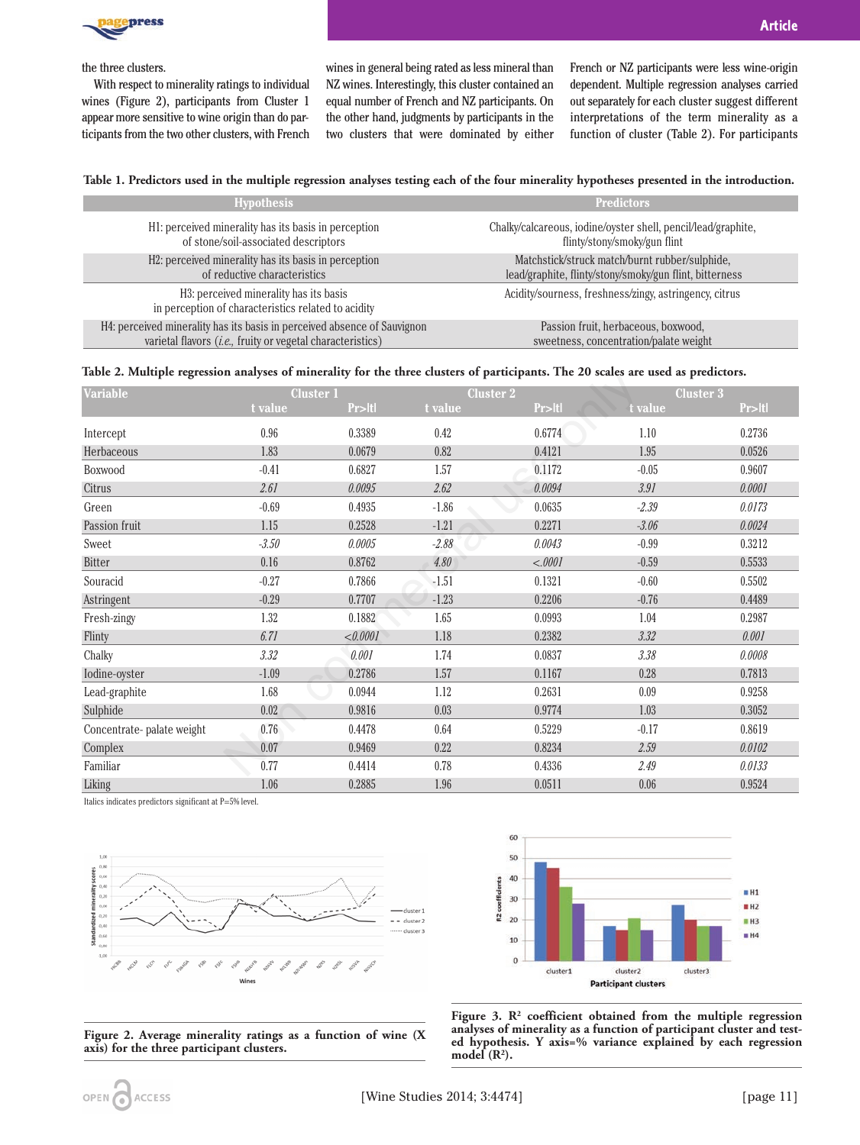

the three clusters.

With respect to minerality ratings to individual wines (Figure 2), participants from Cluster 1 appear more sensitive to wine origin than do participants from the two other clusters, with French

wines in general being rated as less mineral than NZ wines. Interestingly, this cluster contained an equal number of French and NZ participants. On the other hand, judgments by participants in the two clusters that were dominated by either French or NZ participants were less wine-origin dependent. Multiple regression analyses carried out separately for each cluster suggest different interpretations of the term minerality as a function of cluster (Table 2). For participants

#### **Table 1. Predictors used in the multiple regression analyses testing each of the four minerality hypotheses presented in the introduction.**

| <b>Hypothesis</b>                                                                             | <b>Predictors</b>                                                                                         |  |  |  |
|-----------------------------------------------------------------------------------------------|-----------------------------------------------------------------------------------------------------------|--|--|--|
| H1: perceived minerality has its basis in perception<br>of stone/soil-associated descriptors  | Chalky/calcareous, iodine/oyster shell, pencil/lead/graphite,<br>flinty/stony/smoky/gun flint             |  |  |  |
| H2: perceived minerality has its basis in perception<br>of reductive characteristics          | Matchstick/struck match/burnt rubber/sulphide,<br>lead/graphite, flinty/stony/smoky/gun flint, bitterness |  |  |  |
| H3: perceived minerality has its basis<br>in perception of characteristics related to acidity | Acidity/sourness, freshness/zingy, astringency, citrus                                                    |  |  |  |
| H4: perceived minerality has its basis in perceived absence of Sauvignon                      | Passion fruit, herbaceous, boxwood,                                                                       |  |  |  |
| varietal flavors (i.e., fruity or vegetal characteristics)                                    | sweetness, concentration/palate weight                                                                    |  |  |  |

#### **Table 2. Multiple regression analyses of minerality for the three clusters of participants. The 20 scales are used as predictors.**

| Table 2. Multiple regression analyses of minerality for the three clusters of participants. The 20 scales are used as predictors. |                  |          |                  |         |                  |        |  |  |
|-----------------------------------------------------------------------------------------------------------------------------------|------------------|----------|------------------|---------|------------------|--------|--|--|
| <b>Variable</b>                                                                                                                   | <b>Cluster 1</b> |          | <b>Cluster 2</b> |         | <b>Cluster 3</b> |        |  |  |
|                                                                                                                                   | t value          | Pr>Itl   | t value          | Pr>Itl  | t value          | Pr>Itl |  |  |
| Intercept                                                                                                                         | 0.96             | 0.3389   | 0.42             | 0.6774  | 1.10             | 0.2736 |  |  |
| Herbaceous                                                                                                                        | 1.83             | 0.0679   | 0.82             | 0.4121  | 1.95             | 0.0526 |  |  |
| Boxwood                                                                                                                           | $-0.41$          | 0.6827   | 1.57             | 0.1172  | $-0.05$          | 0.9607 |  |  |
| Citrus                                                                                                                            | 2.61             | 0.0095   | 2.62             | 0.0094  | 3.91             | 0.0001 |  |  |
| Green                                                                                                                             | $-0.69$          | 0.4935   | $-1.86$          | 0.0635  | $-2.39$          | 0.0173 |  |  |
| Passion fruit                                                                                                                     | 1.15             | 0.2528   | $-1.21$          | 0.2271  | $-3.06$          | 0.0024 |  |  |
| Sweet                                                                                                                             | $-3.50$          | 0.0005   | $-2.88$          | 0.0043  | $-0.99$          | 0.3212 |  |  |
| Bitter                                                                                                                            | 0.16             | 0.8762   | 4.80             | < .0001 | $-0.59$          | 0.5533 |  |  |
| Souracid                                                                                                                          | $-0.27$          | 0.7866   | $-1.51$          | 0.1321  | $-0.60$          | 0.5502 |  |  |
| Astringent                                                                                                                        | $-0.29$          | 0.7707   | $-1.23$          | 0.2206  | $-0.76$          | 0.4489 |  |  |
| Fresh-zingy                                                                                                                       | 1.32             | 0.1882   | 1.65             | 0.0993  | 1.04             | 0.2987 |  |  |
| <b>Flinty</b>                                                                                                                     | 6.71             | < 0.0001 | 1.18             | 0.2382  | 3.32             | 0.001  |  |  |
| Chalky                                                                                                                            | 3.32             | 0.001    | 1.74             | 0.0837  | 3.38             | 0.0008 |  |  |
| Iodine-oyster                                                                                                                     | $-1.09$          | 0.2786   | 1.57             | 0.1167  | 0.28             | 0.7813 |  |  |
| Lead-graphite                                                                                                                     | 1.68             | 0.0944   | 1.12             | 0.2631  | 0.09             | 0.9258 |  |  |
| Sulphide                                                                                                                          | 0.02             | 0.9816   | 0.03             | 0.9774  | 1.03             | 0.3052 |  |  |
| Concentrate-palate weight                                                                                                         | 0.76             | 0.4478   | 0.64             | 0.5229  | $-0.17$          | 0.8619 |  |  |
| Complex                                                                                                                           | 0.07             | 0.9469   | 0.22             | 0.8234  | 2.59             | 0.0102 |  |  |
| Familiar                                                                                                                          | 0.77             | 0.4414   | 0.78             | 0.4336  | 2.49             | 0.0133 |  |  |
| Liking                                                                                                                            | 1.06             | 0.2885   | 1.96             | 0.0511  | 0.06             | 0.9524 |  |  |

Italics indicates predictors significant at P=5% level.





**Figure 2. Average minerality ratings as a function of wine (X axis) for the three participant clusters.**

**Figure 3. R2 coefficient obtained from the multiple regression analyses of minerality as a function of participant cluster and tested hypothesis. Y axis=% variance explained by each regression**  $model(R<sup>2</sup>)$ .